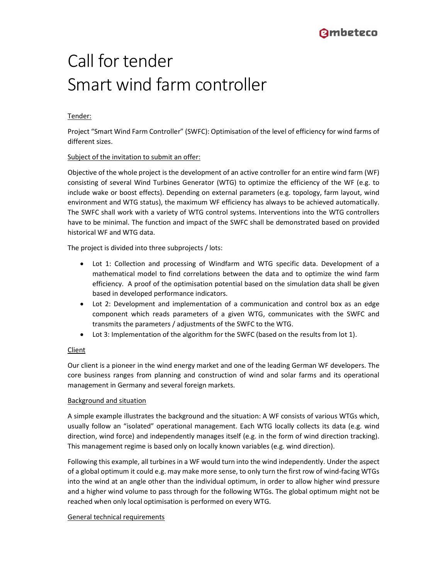# Call for tender Smart wind farm controller

# Tender:

Project "Smart Wind Farm Controller" (SWFC): Optimisation of the level of efficiency for wind farms of different sizes.

# Subject of the invitation to submit an offer:

Objective of the whole project is the development of an active controller for an entire wind farm (WF) consisting of several Wind Turbines Generator (WTG) to optimize the efficiency of the WF (e.g. to include wake or boost effects). Depending on external parameters (e.g. topology, farm layout, wind environment and WTG status), the maximum WF efficiency has always to be achieved automatically. The SWFC shall work with a variety of WTG control systems. Interventions into the WTG controllers have to be minimal. The function and impact of the SWFC shall be demonstrated based on provided historical WF and WTG data.

The project is divided into three subprojects / lots:

- Lot 1: Collection and processing of Windfarm and WTG specific data. Development of a mathematical model to find correlations between the data and to optimize the wind farm efficiency. A proof of the optimisation potential based on the simulation data shall be given based in developed performance indicators.
- Lot 2: Development and implementation of a communication and control box as an edge component which reads parameters of a given WTG, communicates with the SWFC and transmits the parameters / adjustments of the SWFC to the WTG.
- Lot 3: Implementation of the algorithm for the SWFC (based on the results from lot 1).

# Client

Our client is a pioneer in the wind energy market and one of the leading German WF developers. The core business ranges from planning and construction of wind and solar farms and its operational management in Germany and several foreign markets.

# Background and situation

A simple example illustrates the background and the situation: A WF consists of various WTGs which, usually follow an "isolated" operational management. Each WTG locally collects its data (e.g. wind direction, wind force) and independently manages itself (e.g. in the form of wind direction tracking). This management regime is based only on locally known variables (e.g. wind direction).

Following this example, all turbines in a WF would turn into the wind independently. Under the aspect of a global optimum it could e.g. may make more sense, to only turn the first row of wind-facing WTGs into the wind at an angle other than the individual optimum, in order to allow higher wind pressure and a higher wind volume to pass through for the following WTGs. The global optimum might not be reached when only local optimisation is performed on every WTG.

# General technical requirements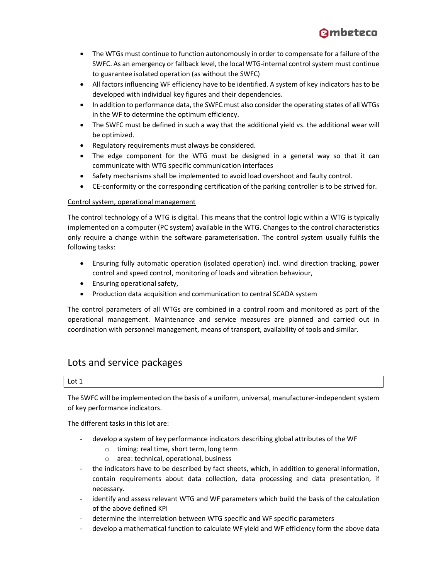

- The WTGs must continue to function autonomously in order to compensate for a failure of the SWFC. As an emergency or fallback level, the local WTG-internal control system must continue to guarantee isolated operation (as without the SWFC)
- All factors influencing WF efficiency have to be identified. A system of key indicators has to be developed with individual key figures and their dependencies.
- In addition to performance data, the SWFC must also consider the operating states of all WTGs in the WF to determine the optimum efficiency.
- The SWFC must be defined in such a way that the additional yield vs. the additional wear will be optimized.
- Regulatory requirements must always be considered.
- The edge component for the WTG must be designed in a general way so that it can communicate with WTG specific communication interfaces
- Safety mechanisms shall be implemented to avoid load overshoot and faulty control.
- CE-conformity or the corresponding certification of the parking controller is to be strived for.

# Control system, operational management

The control technology of a WTG is digital. This means that the control logic within a WTG is typically implemented on a computer (PC system) available in the WTG. Changes to the control characteristics only require a change within the software parameterisation. The control system usually fulfils the following tasks:

- Ensuring fully automatic operation (isolated operation) incl. wind direction tracking, power control and speed control, monitoring of loads and vibration behaviour,
- Ensuring operational safety,
- Production data acquisition and communication to central SCADA system

The control parameters of all WTGs are combined in a control room and monitored as part of the operational management. Maintenance and service measures are planned and carried out in coordination with personnel management, means of transport, availability of tools and similar.

# Lots and service packages

Lot 1

The SWFC will be implemented on the basis of a uniform, universal, manufacturer-independent system of key performance indicators.

The different tasks in this lot are:

- develop a system of key performance indicators describing global attributes of the WF
	- o timing: real time, short term, long term
	- o area: technical, operational, business
- the indicators have to be described by fact sheets, which, in addition to general information, contain requirements about data collection, data processing and data presentation, if necessary.
- identify and assess relevant WTG and WF parameters which build the basis of the calculation of the above defined KPI
- determine the interrelation between WTG specific and WF specific parameters
- develop a mathematical function to calculate WF yield and WF efficiency form the above data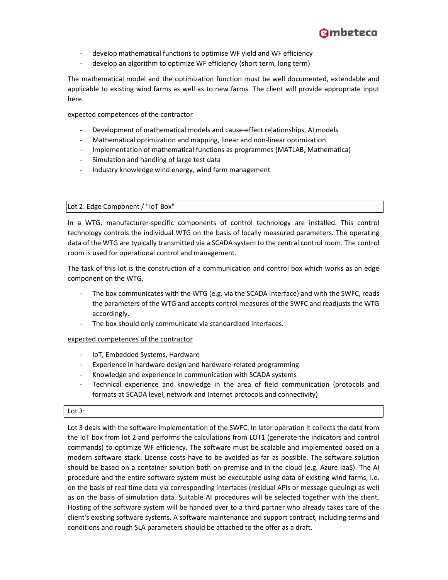- develop mathematical functions to optimise WF yield and WF efficiency
- develop an algorithm to optimize WF efficiency (short term, long term)

The mathematical model and the optimization function must be well documented, extendable and applicable to existing wind farms as well as to new farms. The client will provide appropriate input here.

expected competences of the contractor

- Development of mathematical models and cause-effect relationships, AI models
- Mathematical optimization and mapping, linear and non-linear optimization
- Implementation of mathematical functions as programmes (MATLAB, Mathematica)
- Simulation and handling of large test data
- Industry knowledge wind energy, wind farm management

#### Lot 2: Edge Component / "IoT Box"

In a WTG, manufacturer-specific components of control technology are installed. This control technology controls the individual WTG on the basis of locally measured parameters. The operating data of the WTG are typically transmitted via a SCADA system to the central control room. The control room is used for operational control and management.

The task of this lot is the construction of a communication and control box which works as an edge component on the WTG.

- The box communicates with the WTG (e.g. via the SCADA interface) and with the SWFC, reads the parameters of the WTG and accepts control measures of the SWFC and readjusts the WTG accordingly.
- The box should only communicate via standardized interfaces.

#### expected competences of the contractor

- IoT, Embedded Systems, Hardware
- Experience in hardware design and hardware-related programming
- Knowledge and experience in communication with SCADA systems
- Technical experience and knowledge in the area of field communication (protocols and formats at SCADA level, network and Internet protocols and connectivity)

#### Lot 3:

Lot 3 deals with the software implementation of the SWFC. In later operation it collects the data from the IoT box from lot 2 and performs the calculations from LOT1 (generate the indicators and control commands) to optimize WF efficiency. The software must be scalable and implemented based on a modern software stack. License costs have to be avoided as far as possible. The software solution should be based on a container solution both on-premise and in the cloud (e.g. Azure IaaS). The AI procedure and the entire software system must be executable using data of existing wind farms, i.e. on the basis of real time data via corresponding interfaces (residual APIs or message queuing) as well as on the basis of simulation data. Suitable AI procedures will be selected together with the client. Hosting of the software system will be handed over to a third partner who already takes care of the client's existing software systems. A software maintenance and support contract, including terms and conditions and rough SLA parameters should be attached to the offer as a draft.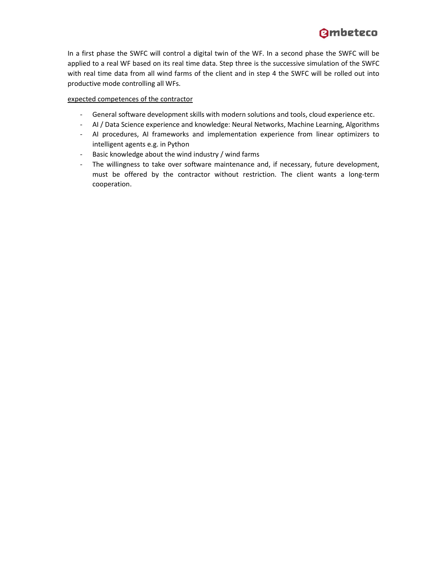

In a first phase the SWFC will control a digital twin of the WF. In a second phase the SWFC will be applied to a real WF based on its real time data. Step three is the successive simulation of the SWFC with real time data from all wind farms of the client and in step 4 the SWFC will be rolled out into productive mode controlling all WFs.

#### expected competences of the contractor

- General software development skills with modern solutions and tools, cloud experience etc.
- AI / Data Science experience and knowledge: Neural Networks, Machine Learning, Algorithms
- AI procedures, AI frameworks and implementation experience from linear optimizers to intelligent agents e.g. in Python
- Basic knowledge about the wind industry / wind farms
- The willingness to take over software maintenance and, if necessary, future development, must be offered by the contractor without restriction. The client wants a long-term cooperation.